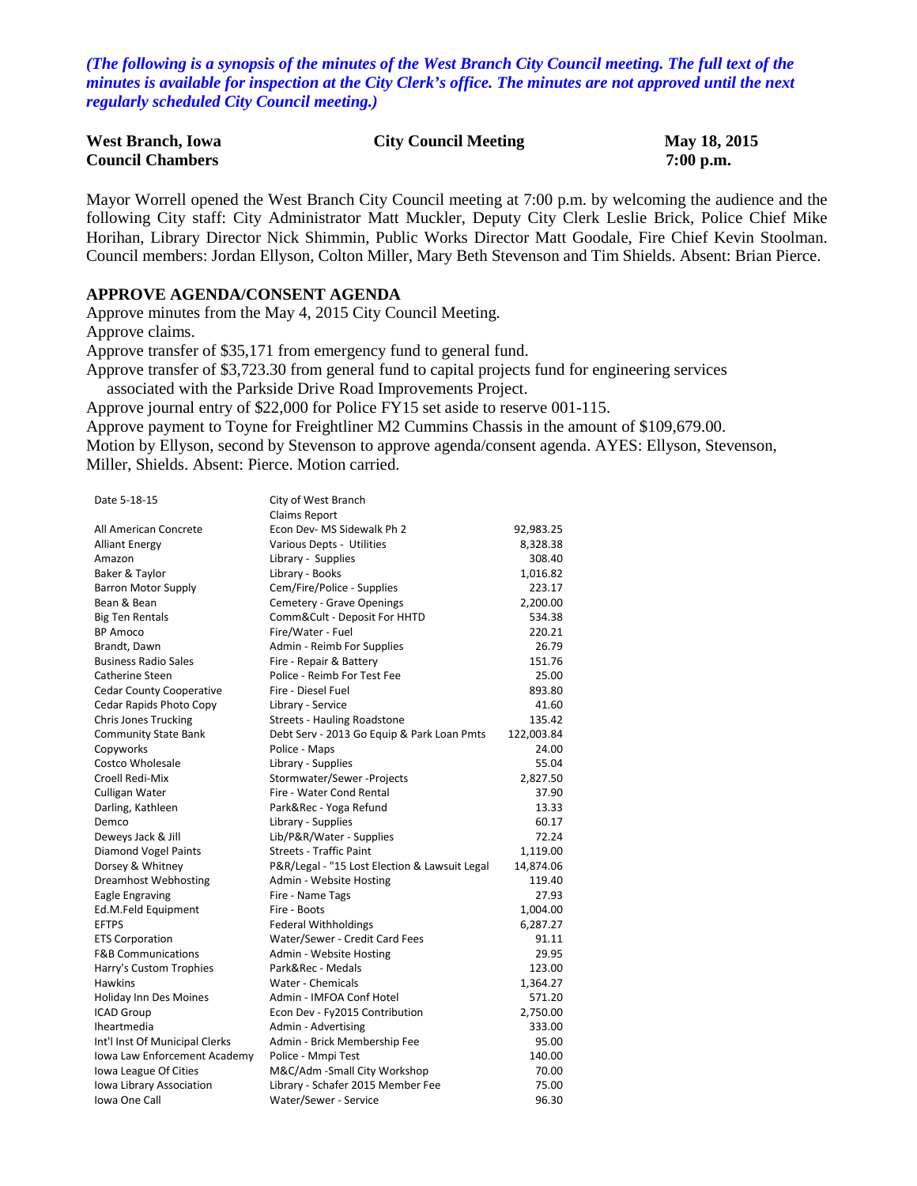*(The following is a synopsis of the minutes of the West Branch City Council meeting. The full text of the minutes is available for inspection at the City Clerk's office. The minutes are not approved until the next regularly scheduled City Council meeting.)*

| <b>West Branch, Iowa</b> | <b>City Council Meeting</b> | May 18, 2015 |
|--------------------------|-----------------------------|--------------|
| <b>Council Chambers</b>  |                             | $7:00$ p.m.  |

Mayor Worrell opened the West Branch City Council meeting at 7:00 p.m. by welcoming the audience and the following City staff: City Administrator Matt Muckler, Deputy City Clerk Leslie Brick, Police Chief Mike Horihan, Library Director Nick Shimmin, Public Works Director Matt Goodale, Fire Chief Kevin Stoolman. Council members: Jordan Ellyson, Colton Miller, Mary Beth Stevenson and Tim Shields. Absent: Brian Pierce.

#### **APPROVE AGENDA/CONSENT AGENDA**

Approve minutes from the May 4, 2015 City Council Meeting. Approve claims. Approve transfer of \$35,171 from emergency fund to general fund. Approve transfer of \$3,723.30 from general fund to capital projects fund for engineering services associated with the Parkside Drive Road Improvements Project. Approve journal entry of \$22,000 for Police FY15 set aside to reserve 001-115. Approve payment to Toyne for Freightliner M2 Cummins Chassis in the amount of \$109,679.00. Motion by Ellyson, second by Stevenson to approve agenda/consent agenda. AYES: Ellyson, Stevenson,

Miller, Shields. Absent: Pierce. Motion carried.

| Date 5-18-15                    | City of West Branch                           |            |
|---------------------------------|-----------------------------------------------|------------|
|                                 | <b>Claims Report</b>                          |            |
| All American Concrete           | Econ Dev- MS Sidewalk Ph 2                    | 92,983.25  |
| <b>Alliant Energy</b>           | Various Depts - Utilities                     | 8,328.38   |
| Amazon                          | Library - Supplies                            | 308.40     |
| Baker & Taylor                  | Library - Books                               | 1,016.82   |
| <b>Barron Motor Supply</b>      | Cem/Fire/Police - Supplies                    | 223.17     |
| Bean & Bean                     | Cemetery - Grave Openings                     | 2,200.00   |
| <b>Big Ten Rentals</b>          | Comm&Cult - Deposit For HHTD                  | 534.38     |
| <b>BP Amoco</b>                 | Fire/Water - Fuel                             | 220.21     |
| Brandt, Dawn                    | Admin - Reimb For Supplies                    | 26.79      |
| <b>Business Radio Sales</b>     | Fire - Repair & Battery                       | 151.76     |
| Catherine Steen                 | Police - Reimb For Test Fee                   | 25.00      |
| <b>Cedar County Cooperative</b> | Fire - Diesel Fuel                            | 893.80     |
| Cedar Rapids Photo Copy         | Library - Service                             | 41.60      |
| <b>Chris Jones Trucking</b>     | Streets - Hauling Roadstone                   | 135.42     |
| <b>Community State Bank</b>     | Debt Serv - 2013 Go Equip & Park Loan Pmts    | 122,003.84 |
| Copyworks                       | Police - Maps                                 | 24.00      |
| <b>Costco Wholesale</b>         | Library - Supplies                            | 55.04      |
| Croell Redi-Mix                 | Stormwater/Sewer-Projects                     | 2,827.50   |
| Culligan Water                  | Fire - Water Cond Rental                      | 37.90      |
| Darling, Kathleen               | Park&Rec - Yoga Refund                        | 13.33      |
| Demco                           | Library - Supplies                            | 60.17      |
| Deweys Jack & Jill              | Lib/P&R/Water - Supplies                      | 72.24      |
| Diamond Vogel Paints            | <b>Streets - Traffic Paint</b>                | 1,119.00   |
| Dorsey & Whitney                | P&R/Legal - "15 Lost Election & Lawsuit Legal | 14,874.06  |
| <b>Dreamhost Webhosting</b>     | Admin - Website Hosting                       | 119.40     |
| Eagle Engraving                 | Fire - Name Tags                              | 27.93      |
| Ed.M.Feld Equipment             | Fire - Boots                                  | 1,004.00   |
| <b>EFTPS</b>                    | <b>Federal Withholdings</b>                   | 6,287.27   |
| <b>ETS Corporation</b>          | Water/Sewer - Credit Card Fees                | 91.11      |
| <b>F&amp;B Communications</b>   | Admin - Website Hosting                       | 29.95      |
| Harry's Custom Trophies         | Park&Rec - Medals                             | 123.00     |
| <b>Hawkins</b>                  | Water - Chemicals                             | 1,364.27   |
| Holiday Inn Des Moines          | Admin - IMFOA Conf Hotel                      | 571.20     |
| <b>ICAD Group</b>               | Econ Dev - Fy2015 Contribution                | 2,750.00   |
| <b>Iheartmedia</b>              | Admin - Advertising                           | 333.00     |
| Int'l Inst Of Municipal Clerks  | Admin - Brick Membership Fee                  | 95.00      |
| Iowa Law Enforcement Academy    | Police - Mmpi Test                            | 140.00     |
| Iowa League Of Cities           | M&C/Adm -Small City Workshop                  | 70.00      |
| Iowa Library Association        | Library - Schafer 2015 Member Fee             | 75.00      |
| Iowa One Call                   | Water/Sewer - Service                         | 96.30      |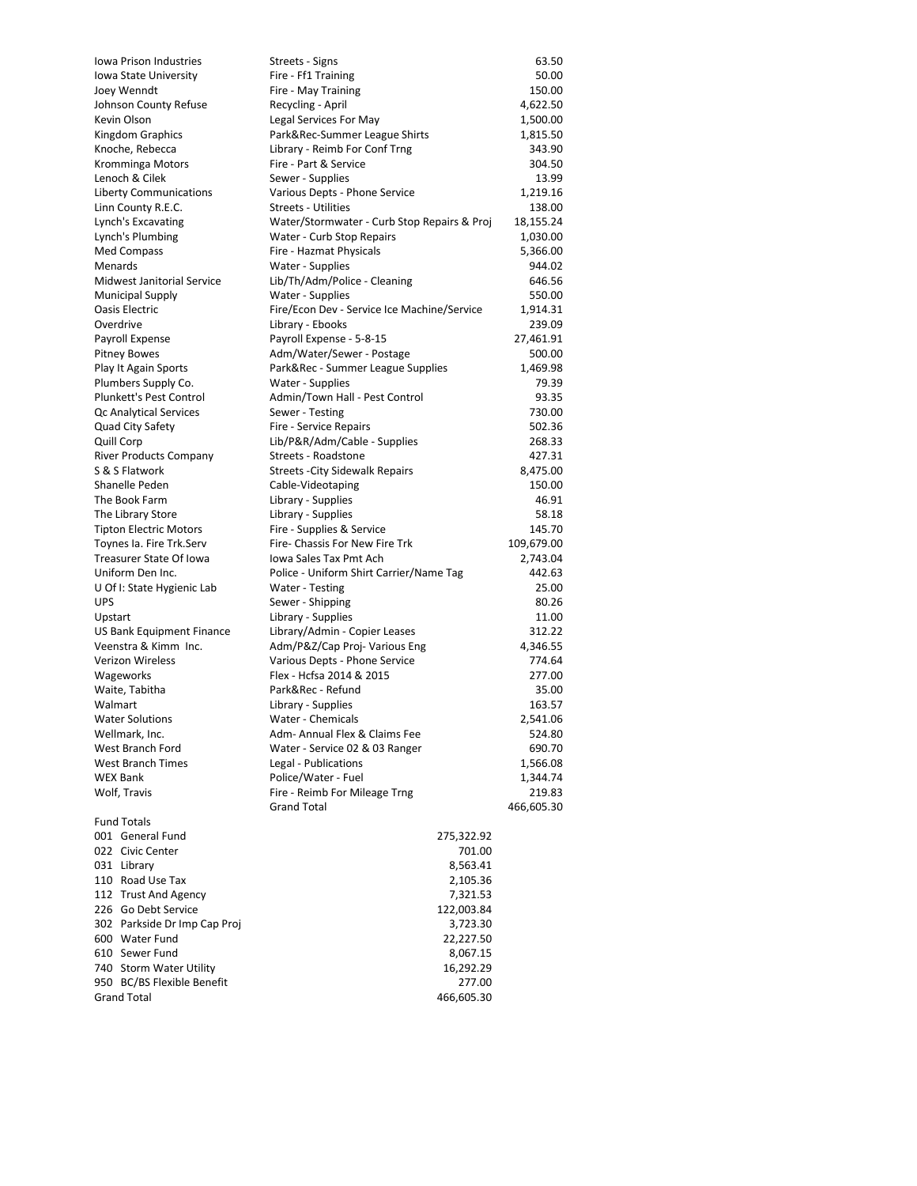| <b>Iowa Prison Industries</b>                             | Streets - Signs                                             | 63.50                |
|-----------------------------------------------------------|-------------------------------------------------------------|----------------------|
| Iowa State University                                     | Fire - Ff1 Training                                         | 50.00                |
| Joey Wenndt                                               | Fire - May Training                                         | 150.00               |
| Johnson County Refuse                                     | Recycling - April                                           | 4,622.50             |
| Kevin Olson                                               | Legal Services For May                                      | 1,500.00             |
| Kingdom Graphics                                          | Park&Rec-Summer League Shirts                               | 1,815.50             |
| Knoche, Rebecca                                           | Library - Reimb For Conf Trng                               | 343.90               |
| Kromminga Motors                                          | Fire - Part & Service                                       | 304.50               |
| Lenoch & Cilek                                            | Sewer - Supplies                                            | 13.99                |
| <b>Liberty Communications</b>                             | Various Depts - Phone Service                               | 1,219.16             |
| Linn County R.E.C.                                        | <b>Streets - Utilities</b>                                  | 138.00               |
| Lynch's Excavating                                        | Water/Stormwater - Curb Stop Repairs & Proj                 | 18,155.24            |
| Lynch's Plumbing                                          | Water - Curb Stop Repairs                                   | 1,030.00             |
| Med Compass                                               | Fire - Hazmat Physicals                                     | 5,366.00             |
| Menards                                                   | Water - Supplies                                            | 944.02               |
| Midwest Janitorial Service                                | Lib/Th/Adm/Police - Cleaning                                | 646.56               |
| <b>Municipal Supply</b>                                   | Water - Supplies                                            | 550.00               |
| Oasis Electric                                            | Fire/Econ Dev - Service Ice Machine/Service                 | 1,914.31             |
| Overdrive                                                 | Library - Ebooks                                            | 239.09               |
| Payroll Expense                                           | Payroll Expense - 5-8-15                                    | 27,461.91            |
| <b>Pitney Bowes</b>                                       | Adm/Water/Sewer - Postage                                   | 500.00               |
| Play It Again Sports                                      | Park&Rec - Summer League Supplies                           | 1,469.98             |
| Plumbers Supply Co.                                       | Water - Supplies                                            | 79.39                |
| Plunkett's Pest Control                                   | Admin/Town Hall - Pest Control                              | 93.35                |
| Qc Analytical Services                                    | Sewer - Testing                                             | 730.00               |
| Quad City Safety                                          | Fire - Service Repairs                                      | 502.36               |
| Quill Corp                                                | Lib/P&R/Adm/Cable - Supplies                                | 268.33               |
| <b>River Products Company</b>                             | Streets - Roadstone                                         | 427.31               |
| S & S Flatwork                                            | <b>Streets - City Sidewalk Repairs</b>                      | 8,475.00             |
| Shanelle Peden                                            | Cable-Videotaping                                           | 150.00               |
| The Book Farm                                             | Library - Supplies                                          | 46.91                |
| The Library Store                                         | Library - Supplies                                          | 58.18                |
| <b>Tipton Electric Motors</b><br>Toynes Ia. Fire Trk.Serv | Fire - Supplies & Service<br>Fire- Chassis For New Fire Trk | 145.70<br>109,679.00 |
| Treasurer State Of Iowa                                   | Iowa Sales Tax Pmt Ach                                      | 2,743.04             |
| Uniform Den Inc.                                          | Police - Uniform Shirt Carrier/Name Tag                     | 442.63               |
| U Of I: State Hygienic Lab                                | Water - Testing                                             | 25.00                |
| <b>UPS</b>                                                | Sewer - Shipping                                            | 80.26                |
| Upstart                                                   | Library - Supplies                                          | 11.00                |
| US Bank Equipment Finance                                 | Library/Admin - Copier Leases                               | 312.22               |
| Veenstra & Kimm Inc.                                      | Adm/P&Z/Cap Proj- Various Eng                               | 4,346.55             |
| <b>Verizon Wireless</b>                                   | Various Depts - Phone Service                               | 774.64               |
| Wageworks                                                 | Flex - Hcfsa 2014 & 2015                                    | 277.00               |
| Waite, Tabitha                                            | Park&Rec - Refund                                           | 35.00                |
| Walmart                                                   | Library - Supplies                                          | 163.57               |
| <b>Water Solutions</b>                                    | Water - Chemicals                                           | 2,541.06             |
| Wellmark, Inc.                                            | Adm- Annual Flex & Claims Fee                               | 524.80               |
| West Branch Ford                                          | Water - Service 02 & 03 Ranger                              | 690.70               |
| <b>West Branch Times</b>                                  | Legal - Publications                                        | 1,566.08             |
| <b>WEX Bank</b>                                           | Police/Water - Fuel                                         | 1,344.74             |
| Wolf, Travis                                              | Fire - Reimb For Mileage Trng                               | 219.83               |
|                                                           | <b>Grand Total</b>                                          | 466,605.30           |
| <b>Fund Totals</b>                                        |                                                             |                      |
| 001 General Fund                                          | 275,322.92                                                  |                      |
| 022 Civic Center                                          | 701.00                                                      |                      |
| 031 Library                                               | 8,563.41                                                    |                      |
| 110 Road Use Tax                                          | 2,105.36                                                    |                      |
| 112 Trust And Agency                                      | 7,321.53                                                    |                      |
| 226 Go Debt Service                                       | 122,003.84                                                  |                      |
| 302 Parkside Dr Imp Cap Proj                              | 3,723.30                                                    |                      |
| 600 Water Fund                                            | 22,227.50                                                   |                      |
| 610 Sewer Fund                                            | 8,067.15                                                    |                      |
| 740 Storm Water Utility                                   | 16,292.29                                                   |                      |
| 950 BC/BS Flexible Benefit                                | 277.00                                                      |                      |
| <b>Grand Total</b>                                        | 466,605.30                                                  |                      |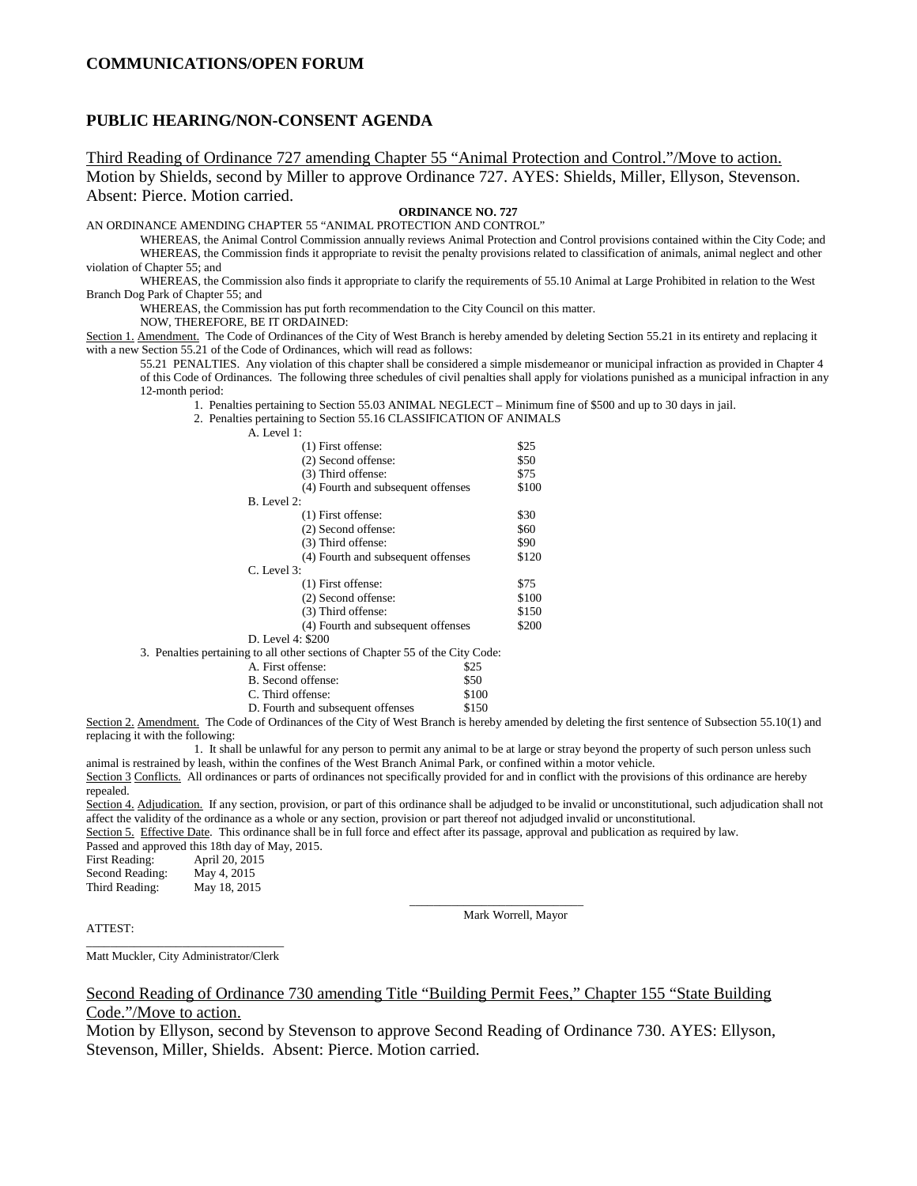#### **PUBLIC HEARING/NON-CONSENT AGENDA**

Third Reading of Ordinance 727 amending Chapter 55 "Animal Protection and Control."/Move to action. Motion by Shields, second by Miller to approve Ordinance 727. AYES: Shields, Miller, Ellyson, Stevenson. Absent: Pierce. Motion carried.

#### **ORDINANCE NO. 727**

AN ORDINANCE AMENDING CHAPTER 55 "ANIMAL PROTECTION AND CONTROL"

WHEREAS, the Animal Control Commission annually reviews Animal Protection and Control provisions contained within the City Code; and WHEREAS, the Commission finds it appropriate to revisit the penalty provisions related to classification of animals, animal neglect and other violation of Chapter 55; and

WHEREAS, the Commission also finds it appropriate to clarify the requirements of 55.10 Animal at Large Prohibited in relation to the West Branch Dog Park of Chapter 55; and

WHEREAS, the Commission has put forth recommendation to the City Council on this matter.

NOW, THEREFORE, BE IT ORDAINED:

Section 1. Amendment. The Code of Ordinances of the City of West Branch is hereby amended by deleting Section 55.21 in its entirety and replacing it with a new Section 55.21 of the Code of Ordinances, which will read as follows:

55.21 PENALTIES. Any violation of this chapter shall be considered a simple misdemeanor or municipal infraction as provided in Chapter 4 of this Code of Ordinances. The following three schedules of civil penalties shall apply for violations punished as a municipal infraction in any 12-month period:

1. Penalties pertaining to Section 55.03 ANIMAL NEGLECT – Minimum fine of \$500 and up to 30 days in jail.

2. Penalties pertaining to Section 55.16 CLASSIFICATION OF ANIMALS

| A. Level 1:                                                                   |       |
|-------------------------------------------------------------------------------|-------|
| $(1)$ First offense:                                                          | \$25  |
| (2) Second offense:                                                           | \$50  |
| (3) Third offense:                                                            | \$75  |
| (4) Fourth and subsequent offenses                                            | \$100 |
| B. Level 2:                                                                   |       |
| $(1)$ First offense:                                                          | \$30  |
| (2) Second offense:                                                           | \$60  |
| (3) Third offense:                                                            | \$90  |
| (4) Fourth and subsequent offenses                                            | \$120 |
| $C.$ Level 3:                                                                 |       |
| $(1)$ First offense:                                                          | \$75  |
| (2) Second offense:                                                           | \$100 |
| (3) Third offense:                                                            | \$150 |
| (4) Fourth and subsequent offenses                                            | \$200 |
| D. Level 4: \$200                                                             |       |
| 3. Penalties pertaining to all other sections of Chapter 55 of the City Code: |       |
| A. First offense:<br>\$25                                                     |       |
| B. Second offense:<br>\$50                                                    |       |
| C. Third offense:<br>\$100                                                    |       |
| \$150<br>D. Fourth and subsequent offenses                                    |       |

Section 2. Amendment. The Code of Ordinances of the City of West Branch is hereby amended by deleting the first sentence of Subsection 55.10(1) and replacing it with the following:

1. It shall be unlawful for any person to permit any animal to be at large or stray beyond the property of such person unless such animal is restrained by leash, within the confines of the West Branch Animal Park, or confined within a motor vehicle.

Section 3 Conflicts. All ordinances or parts of ordinances not specifically provided for and in conflict with the provisions of this ordinance are hereby repealed.

Section 4. Adjudication. If any section, provision, or part of this ordinance shall be adjudged to be invalid or unconstitutional, such adjudication shall not affect the validity of the ordinance as a whole or any section, provision or part thereof not adjudged invalid or unconstitutional.

Section 5. Effective Date. This ordinance shall be in full force and effect after its passage, approval and publication as required by law. Passed and approved this 18th day of May, 2015.

First Reading: April 20, 2015<br>Second Reading: May 4, 2015 Second Reading:

Third Reading: May 18, 2015

\_\_\_\_\_\_\_\_\_\_\_\_\_\_\_\_\_\_\_\_\_\_\_\_\_\_\_\_\_ Mark Worrell, Mayor

ATTEST:

\_\_\_\_\_\_\_\_\_\_\_\_\_\_\_\_\_\_\_\_\_\_\_\_\_\_\_\_\_\_\_\_\_ Matt Muckler, City Administrator/Clerk

#### Second Reading of Ordinance 730 amending Title "Building Permit Fees," Chapter 155 "State Building Code."/Move to action.

Motion by Ellyson, second by Stevenson to approve Second Reading of Ordinance 730. AYES: Ellyson, Stevenson, Miller, Shields. Absent: Pierce. Motion carried.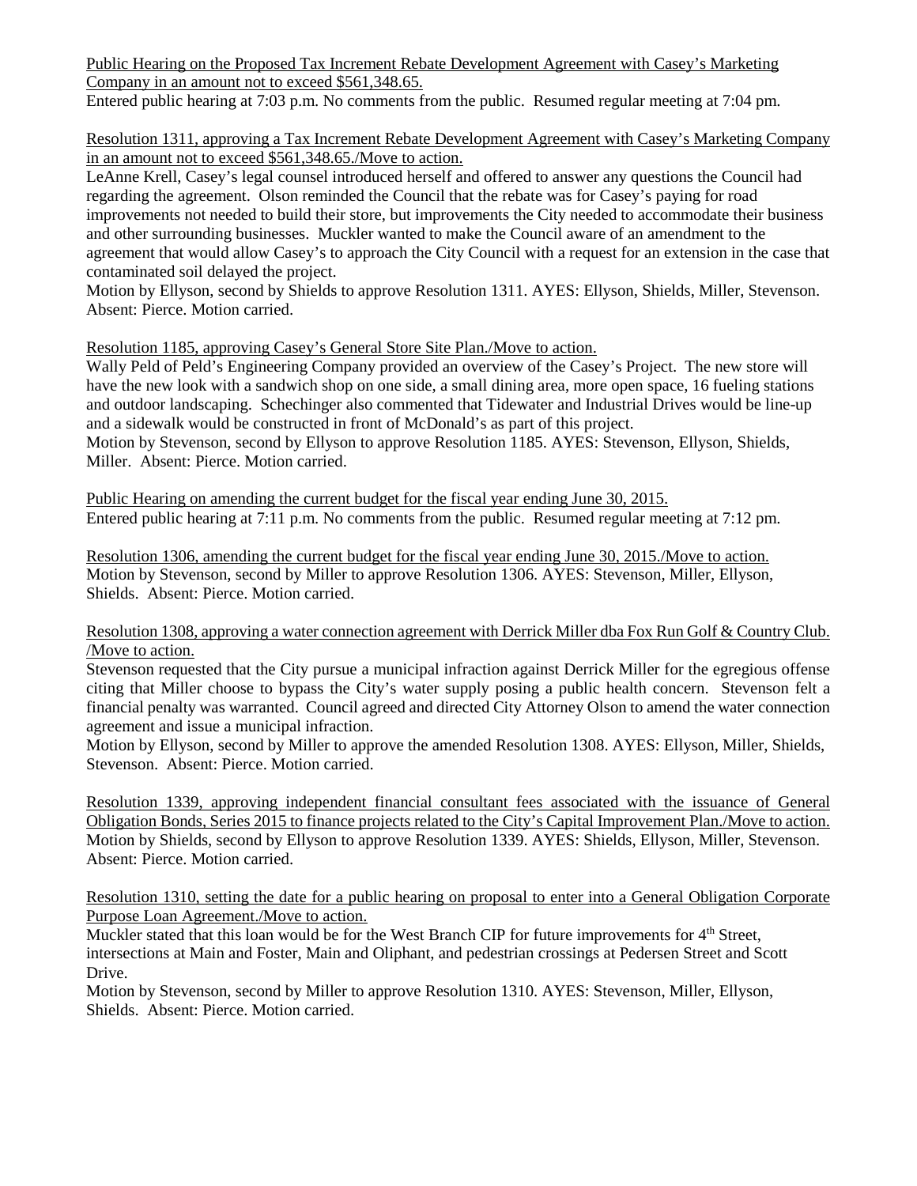Public Hearing on the Proposed Tax Increment Rebate Development Agreement with Casey's Marketing Company in an amount not to exceed \$561,348.65.

Entered public hearing at 7:03 p.m. No comments from the public. Resumed regular meeting at 7:04 pm.

Resolution 1311, approving a Tax Increment Rebate Development Agreement with Casey's Marketing Company in an amount not to exceed \$561,348.65./Move to action.

LeAnne Krell, Casey's legal counsel introduced herself and offered to answer any questions the Council had regarding the agreement. Olson reminded the Council that the rebate was for Casey's paying for road improvements not needed to build their store, but improvements the City needed to accommodate their business and other surrounding businesses. Muckler wanted to make the Council aware of an amendment to the agreement that would allow Casey's to approach the City Council with a request for an extension in the case that contaminated soil delayed the project.

Motion by Ellyson, second by Shields to approve Resolution 1311. AYES: Ellyson, Shields, Miller, Stevenson. Absent: Pierce. Motion carried.

# Resolution 1185, approving Casey's General Store Site Plan./Move to action.

Wally Peld of Peld's Engineering Company provided an overview of the Casey's Project. The new store will have the new look with a sandwich shop on one side, a small dining area, more open space, 16 fueling stations and outdoor landscaping. Schechinger also commented that Tidewater and Industrial Drives would be line-up and a sidewalk would be constructed in front of McDonald's as part of this project.

Motion by Stevenson, second by Ellyson to approve Resolution 1185. AYES: Stevenson, Ellyson, Shields, Miller. Absent: Pierce. Motion carried.

Public Hearing on amending the current budget for the fiscal year ending June 30, 2015. Entered public hearing at 7:11 p.m. No comments from the public. Resumed regular meeting at 7:12 pm.

Resolution 1306, amending the current budget for the fiscal year ending June 30, 2015./Move to action. Motion by Stevenson, second by Miller to approve Resolution 1306. AYES: Stevenson, Miller, Ellyson, Shields. Absent: Pierce. Motion carried.

## Resolution 1308, approving a water connection agreement with Derrick Miller dba Fox Run Golf & Country Club. /Move to action.

Stevenson requested that the City pursue a municipal infraction against Derrick Miller for the egregious offense citing that Miller choose to bypass the City's water supply posing a public health concern. Stevenson felt a financial penalty was warranted. Council agreed and directed City Attorney Olson to amend the water connection agreement and issue a municipal infraction.

Motion by Ellyson, second by Miller to approve the amended Resolution 1308. AYES: Ellyson, Miller, Shields, Stevenson. Absent: Pierce. Motion carried.

Resolution 1339, approving independent financial consultant fees associated with the issuance of General Obligation Bonds, Series 2015 to finance projects related to the City's Capital Improvement Plan./Move to action. Motion by Shields, second by Ellyson to approve Resolution 1339. AYES: Shields, Ellyson, Miller, Stevenson. Absent: Pierce. Motion carried.

Resolution 1310, setting the date for a public hearing on proposal to enter into a General Obligation Corporate Purpose Loan Agreement./Move to action.

Muckler stated that this loan would be for the West Branch CIP for future improvements for 4<sup>th</sup> Street, intersections at Main and Foster, Main and Oliphant, and pedestrian crossings at Pedersen Street and Scott Drive.

Motion by Stevenson, second by Miller to approve Resolution 1310. AYES: Stevenson, Miller, Ellyson, Shields. Absent: Pierce. Motion carried.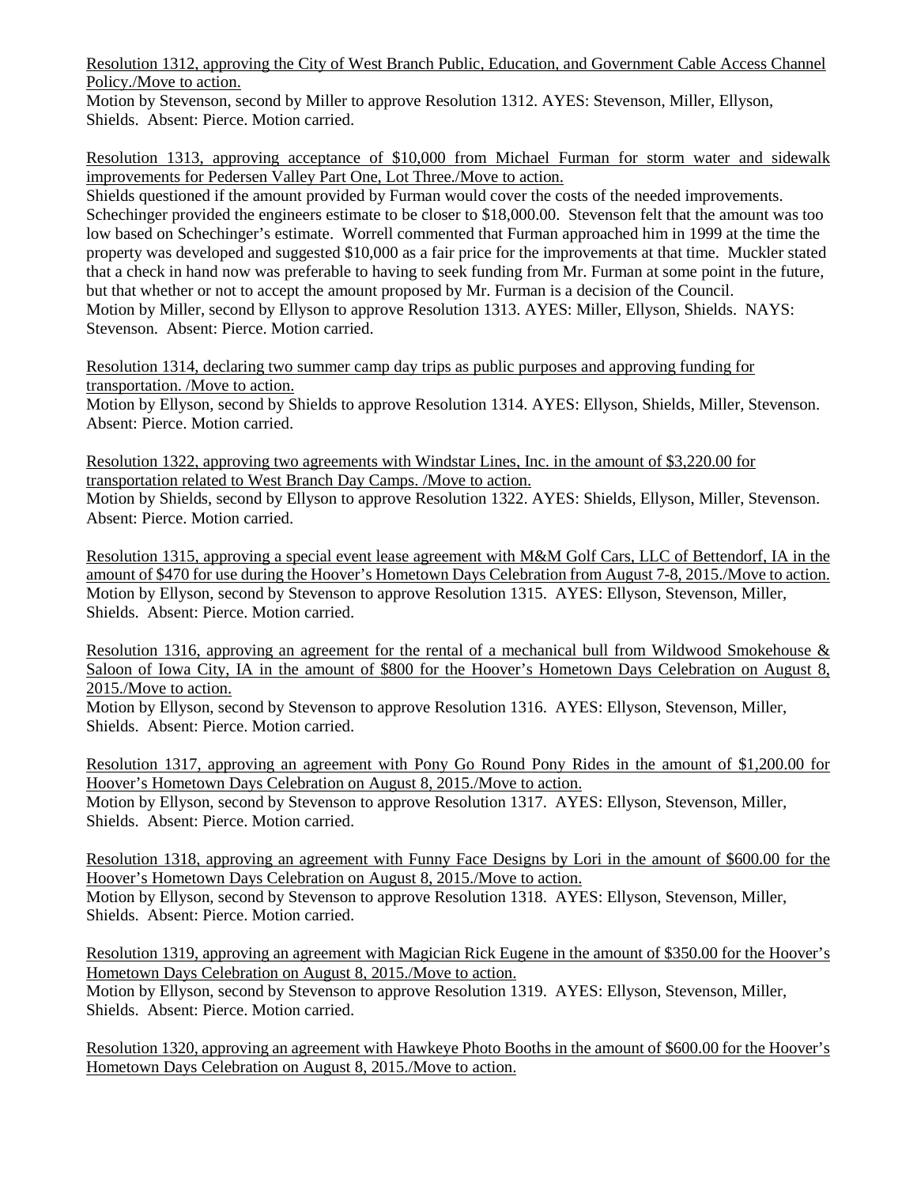Resolution 1312, approving the City of West Branch Public, Education, and Government Cable Access Channel Policy./Move to action.

Motion by Stevenson, second by Miller to approve Resolution 1312. AYES: Stevenson, Miller, Ellyson, Shields. Absent: Pierce. Motion carried.

Resolution 1313, approving acceptance of \$10,000 from Michael Furman for storm water and sidewalk improvements for Pedersen Valley Part One, Lot Three./Move to action.

Shields questioned if the amount provided by Furman would cover the costs of the needed improvements. Schechinger provided the engineers estimate to be closer to \$18,000.00. Stevenson felt that the amount was too low based on Schechinger's estimate. Worrell commented that Furman approached him in 1999 at the time the property was developed and suggested \$10,000 as a fair price for the improvements at that time. Muckler stated that a check in hand now was preferable to having to seek funding from Mr. Furman at some point in the future, but that whether or not to accept the amount proposed by Mr. Furman is a decision of the Council. Motion by Miller, second by Ellyson to approve Resolution 1313. AYES: Miller, Ellyson, Shields. NAYS: Stevenson. Absent: Pierce. Motion carried.

Resolution 1314, declaring two summer camp day trips as public purposes and approving funding for transportation. /Move to action.

Motion by Ellyson, second by Shields to approve Resolution 1314. AYES: Ellyson, Shields, Miller, Stevenson. Absent: Pierce. Motion carried.

Resolution 1322, approving two agreements with Windstar Lines, Inc. in the amount of \$3,220.00 for transportation related to West Branch Day Camps. /Move to action.

Motion by Shields, second by Ellyson to approve Resolution 1322. AYES: Shields, Ellyson, Miller, Stevenson. Absent: Pierce. Motion carried.

Resolution 1315, approving a special event lease agreement with M&M Golf Cars, LLC of Bettendorf, IA in the amount of \$470 for use during the Hoover's Hometown Days Celebration from August 7-8, 2015./Move to action. Motion by Ellyson, second by Stevenson to approve Resolution 1315. AYES: Ellyson, Stevenson, Miller, Shields. Absent: Pierce. Motion carried.

Resolution 1316, approving an agreement for the rental of a mechanical bull from Wildwood Smokehouse & Saloon of Iowa City, IA in the amount of \$800 for the Hoover's Hometown Days Celebration on August 8, 2015./Move to action.

Motion by Ellyson, second by Stevenson to approve Resolution 1316. AYES: Ellyson, Stevenson, Miller, Shields. Absent: Pierce. Motion carried.

Resolution 1317, approving an agreement with Pony Go Round Pony Rides in the amount of \$1,200.00 for Hoover's Hometown Days Celebration on August 8, 2015./Move to action. Motion by Ellyson, second by Stevenson to approve Resolution 1317. AYES: Ellyson, Stevenson, Miller, Shields. Absent: Pierce. Motion carried.

Resolution 1318, approving an agreement with Funny Face Designs by Lori in the amount of \$600.00 for the Hoover's Hometown Days Celebration on August 8, 2015./Move to action. Motion by Ellyson, second by Stevenson to approve Resolution 1318. AYES: Ellyson, Stevenson, Miller, Shields. Absent: Pierce. Motion carried.

Resolution 1319, approving an agreement with Magician Rick Eugene in the amount of \$350.00 for the Hoover's Hometown Days Celebration on August 8, 2015./Move to action.

Motion by Ellyson, second by Stevenson to approve Resolution 1319. AYES: Ellyson, Stevenson, Miller, Shields. Absent: Pierce. Motion carried.

Resolution 1320, approving an agreement with Hawkeye Photo Booths in the amount of \$600.00 for the Hoover's Hometown Days Celebration on August 8, 2015./Move to action.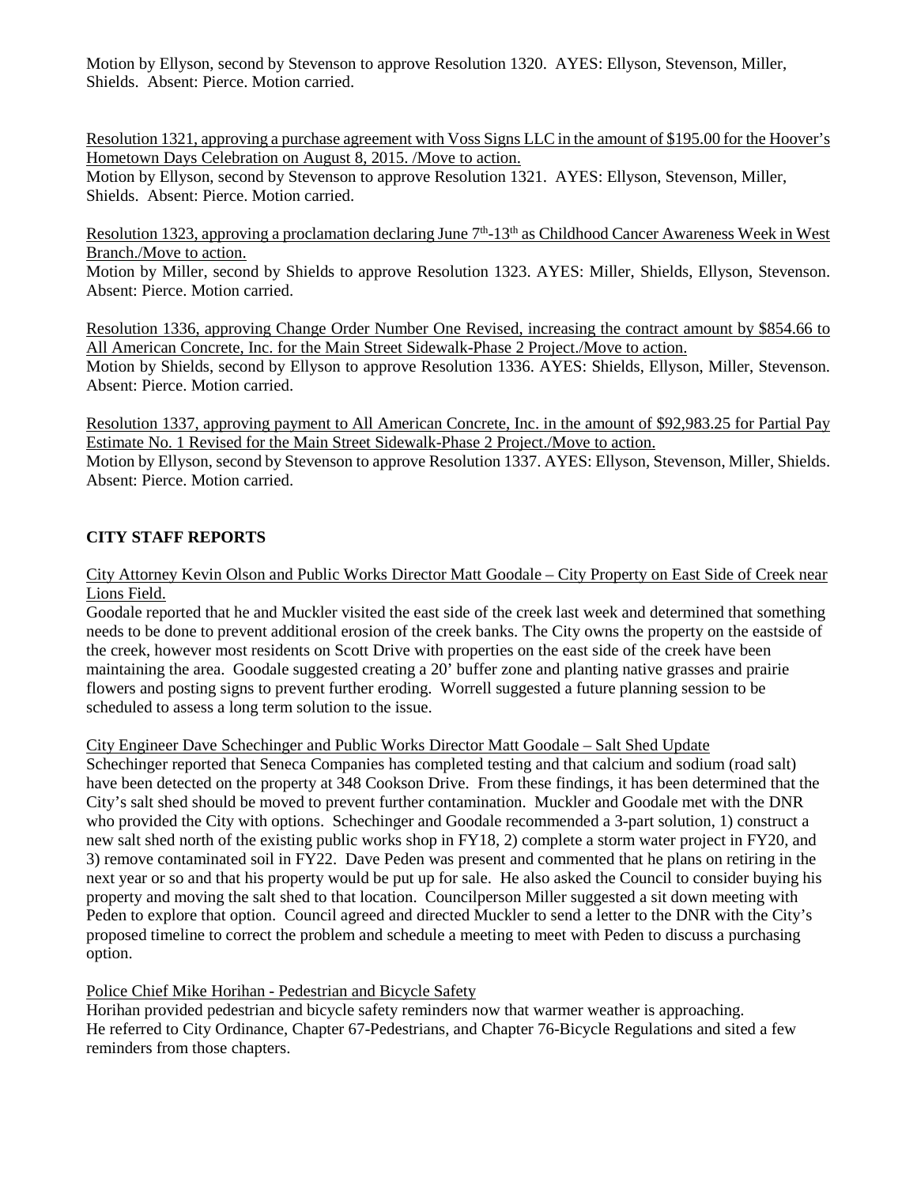Motion by Ellyson, second by Stevenson to approve Resolution 1320. AYES: Ellyson, Stevenson, Miller, Shields. Absent: Pierce. Motion carried.

Resolution 1321, approving a purchase agreement with Voss Signs LLC in the amount of \$195.00 for the Hoover's Hometown Days Celebration on August 8, 2015. /Move to action.

Motion by Ellyson, second by Stevenson to approve Resolution 1321. AYES: Ellyson, Stevenson, Miller, Shields. Absent: Pierce. Motion carried.

Resolution 1323, approving a proclamation declaring June  $7<sup>th</sup>$ -13<sup>th</sup> as Childhood Cancer Awareness Week in West Branch./Move to action.

Motion by Miller, second by Shields to approve Resolution 1323. AYES: Miller, Shields, Ellyson, Stevenson. Absent: Pierce. Motion carried.

Resolution 1336, approving Change Order Number One Revised, increasing the contract amount by \$854.66 to All American Concrete, Inc. for the Main Street Sidewalk-Phase 2 Project./Move to action. Motion by Shields, second by Ellyson to approve Resolution 1336. AYES: Shields, Ellyson, Miller, Stevenson. Absent: Pierce. Motion carried.

Resolution 1337, approving payment to All American Concrete, Inc. in the amount of \$92,983.25 for Partial Pay Estimate No. 1 Revised for the Main Street Sidewalk-Phase 2 Project./Move to action. Motion by Ellyson, second by Stevenson to approve Resolution 1337. AYES: Ellyson, Stevenson, Miller, Shields.

Absent: Pierce. Motion carried.

# **CITY STAFF REPORTS**

## City Attorney Kevin Olson and Public Works Director Matt Goodale – City Property on East Side of Creek near Lions Field.

Goodale reported that he and Muckler visited the east side of the creek last week and determined that something needs to be done to prevent additional erosion of the creek banks. The City owns the property on the eastside of the creek, however most residents on Scott Drive with properties on the east side of the creek have been maintaining the area. Goodale suggested creating a 20' buffer zone and planting native grasses and prairie flowers and posting signs to prevent further eroding. Worrell suggested a future planning session to be scheduled to assess a long term solution to the issue.

# City Engineer Dave Schechinger and Public Works Director Matt Goodale – Salt Shed Update

Schechinger reported that Seneca Companies has completed testing and that calcium and sodium (road salt) have been detected on the property at 348 Cookson Drive. From these findings, it has been determined that the City's salt shed should be moved to prevent further contamination. Muckler and Goodale met with the DNR who provided the City with options. Schechinger and Goodale recommended a 3-part solution, 1) construct a new salt shed north of the existing public works shop in FY18, 2) complete a storm water project in FY20, and 3) remove contaminated soil in FY22. Dave Peden was present and commented that he plans on retiring in the next year or so and that his property would be put up for sale. He also asked the Council to consider buying his property and moving the salt shed to that location. Councilperson Miller suggested a sit down meeting with Peden to explore that option. Council agreed and directed Muckler to send a letter to the DNR with the City's proposed timeline to correct the problem and schedule a meeting to meet with Peden to discuss a purchasing option.

# Police Chief Mike Horihan - Pedestrian and Bicycle Safety

Horihan provided pedestrian and bicycle safety reminders now that warmer weather is approaching. He referred to City Ordinance, Chapter 67-Pedestrians, and Chapter 76-Bicycle Regulations and sited a few reminders from those chapters.